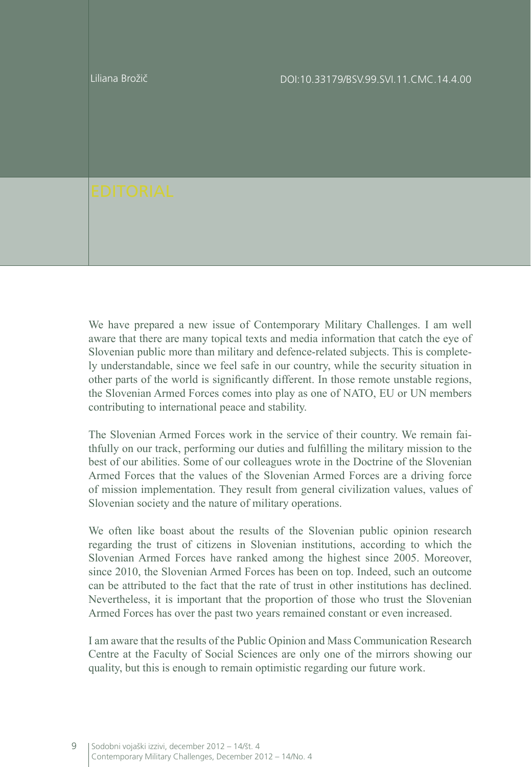We have prepared a new issue of Contemporary Military Challenges. I am well aware that there are many topical texts and media information that catch the eye of Slovenian public more than military and defence-related subjects. This is completely understandable, since we feel safe in our country, while the security situation in other parts of the world is significantly different. In those remote unstable regions, the Slovenian Armed Forces comes into play as one of NATO, EU or UN members contributing to international peace and stability.

The Slovenian Armed Forces work in the service of their country. We remain faithfully on our track, performing our duties and fulfilling the military mission to the best of our abilities. Some of our colleagues wrote in the Doctrine of the Slovenian Armed Forces that the values of the Slovenian Armed Forces are a driving force of mission implementation. They result from general civilization values, values of Slovenian society and the nature of military operations.

We often like boast about the results of the Slovenian public opinion research regarding the trust of citizens in Slovenian institutions, according to which the Slovenian Armed Forces have ranked among the highest since 2005. Moreover, since 2010, the Slovenian Armed Forces has been on top. Indeed, such an outcome can be attributed to the fact that the rate of trust in other institutions has declined. Nevertheless, it is important that the proportion of those who trust the Slovenian Armed Forces has over the past two years remained constant or even increased.

I am aware that the results of the Public Opinion and Mass Communication Research Centre at the Faculty of Social Sciences are only one of the mirrors showing our quality, but this is enough to remain optimistic regarding our future work.